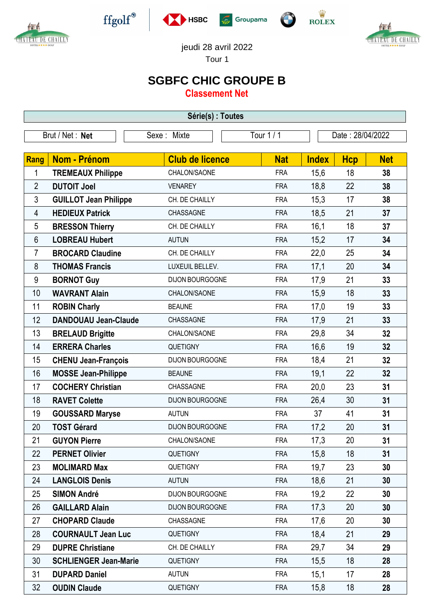



 $\operatorname{ffgolf}^{\circledast}$ 







jeudi 28 avril 2022

Tour 1

## **SGBFC CHIC GROUPE B**

**Classement Net**

| Série(s) : Toutes |                              |                        |            |                  |            |            |  |  |  |  |
|-------------------|------------------------------|------------------------|------------|------------------|------------|------------|--|--|--|--|
| Brut / Net: Net   |                              | Sexe: Mixte            | Tour 1 / 1 | Date: 28/04/2022 |            |            |  |  |  |  |
|                   |                              |                        |            |                  |            |            |  |  |  |  |
| Rang              | <b>Nom - Prénom</b>          | <b>Club de licence</b> | <b>Nat</b> | <b>Index</b>     | <b>Hcp</b> | <b>Net</b> |  |  |  |  |
| 1                 | <b>TREMEAUX Philippe</b>     | CHALON/SAONE           | <b>FRA</b> | 15,6             | 18         | 38         |  |  |  |  |
| $\overline{2}$    | <b>DUTOIT Joel</b>           | <b>VENAREY</b>         | <b>FRA</b> | 18,8             | 22         | 38         |  |  |  |  |
| 3                 | <b>GUILLOT Jean Philippe</b> | CH. DE CHAILLY         | <b>FRA</b> | 15,3             | 17         | 38         |  |  |  |  |
| 4                 | <b>HEDIEUX Patrick</b>       | CHASSAGNE              | <b>FRA</b> | 18,5             | 21         | 37         |  |  |  |  |
| 5                 | <b>BRESSON Thierry</b>       | CH. DE CHAILLY         | <b>FRA</b> | 16,1             | 18         | 37         |  |  |  |  |
| 6                 | <b>LOBREAU Hubert</b>        | <b>AUTUN</b>           | <b>FRA</b> | 15,2             | 17         | 34         |  |  |  |  |
| 7                 | <b>BROCARD Claudine</b>      | CH. DE CHAILLY         | <b>FRA</b> | 22,0             | 25         | 34         |  |  |  |  |
| 8                 | <b>THOMAS Francis</b>        | LUXEUIL BELLEV.        | <b>FRA</b> | 17,1             | 20         | 34         |  |  |  |  |
| 9                 | <b>BORNOT Guy</b>            | <b>DIJON BOURGOGNE</b> | <b>FRA</b> | 17,9             | 21         | 33         |  |  |  |  |
| 10                | <b>WAVRANT Alain</b>         | CHALON/SAONE           | <b>FRA</b> | 15,9             | 18         | 33         |  |  |  |  |
| 11                | <b>ROBIN Charly</b>          | <b>BEAUNE</b>          | <b>FRA</b> | 17,0             | 19         | 33         |  |  |  |  |
| 12                | <b>DANDOUAU Jean-Claude</b>  | CHASSAGNE              | <b>FRA</b> | 17,9             | 21         | 33         |  |  |  |  |
| 13                | <b>BRELAUD Brigitte</b>      | CHALON/SAONE           | <b>FRA</b> | 29,8             | 34         | 32         |  |  |  |  |
| 14                | <b>ERRERA Charles</b>        | QUETIGNY               | <b>FRA</b> | 16,6             | 19         | 32         |  |  |  |  |
| 15                | <b>CHENU Jean-François</b>   | DIJON BOURGOGNE        | <b>FRA</b> | 18,4             | 21         | 32         |  |  |  |  |
| 16                | <b>MOSSE Jean-Philippe</b>   | <b>BEAUNE</b>          | <b>FRA</b> | 19,1             | 22         | 32         |  |  |  |  |
| 17                | <b>COCHERY Christian</b>     | CHASSAGNE              | <b>FRA</b> | 20,0             | 23         | 31         |  |  |  |  |
| 18                | <b>RAVET Colette</b>         | DIJON BOURGOGNE        | <b>FRA</b> | 26,4             | 30         | 31         |  |  |  |  |
| 19                | <b>GOUSSARD Maryse</b>       | <b>AUTUN</b>           | <b>FRA</b> | 37               | 41         | 31         |  |  |  |  |
| 20                | <b>TOST Gérard</b>           | DIJON BOURGOGNE        | <b>FRA</b> | 17,2             | 20         | 31         |  |  |  |  |
| 21                | <b>GUYON Pierre</b>          | CHALON/SAONE           | <b>FRA</b> | 17,3             | 20         | 31         |  |  |  |  |
| 22                | <b>PERNET Olivier</b>        | <b>QUETIGNY</b>        | <b>FRA</b> | 15,8             | 18         | 31         |  |  |  |  |
| 23                | <b>MOLIMARD Max</b>          | <b>QUETIGNY</b>        | <b>FRA</b> | 19,7             | 23         | 30         |  |  |  |  |
| 24                | <b>LANGLOIS Denis</b>        | <b>AUTUN</b>           | <b>FRA</b> | 18,6             | 21         | 30         |  |  |  |  |
| 25                | <b>SIMON André</b>           | <b>DIJON BOURGOGNE</b> | <b>FRA</b> | 19,2             | 22         | 30         |  |  |  |  |
| 26                | <b>GAILLARD Alain</b>        | DIJON BOURGOGNE        | <b>FRA</b> | 17,3             | 20         | 30         |  |  |  |  |
| 27                | <b>CHOPARD Claude</b>        | CHASSAGNE              | <b>FRA</b> | 17,6             | 20         | 30         |  |  |  |  |
| 28                | <b>COURNAULT Jean Luc</b>    | <b>QUETIGNY</b>        | <b>FRA</b> | 18,4             | 21         | 29         |  |  |  |  |
| 29                | <b>DUPRE Christiane</b>      | CH. DE CHAILLY         | <b>FRA</b> | 29,7             | 34         | 29         |  |  |  |  |
| 30                | <b>SCHLIENGER Jean-Marie</b> | <b>QUETIGNY</b>        | <b>FRA</b> | 15,5             | 18         | 28         |  |  |  |  |
| 31                | <b>DUPARD Daniel</b>         | <b>AUTUN</b>           | <b>FRA</b> | 15,1             | 17         | 28         |  |  |  |  |
| 32                | <b>OUDIN Claude</b>          | <b>QUETIGNY</b>        | <b>FRA</b> | 15,8             | 18         | 28         |  |  |  |  |